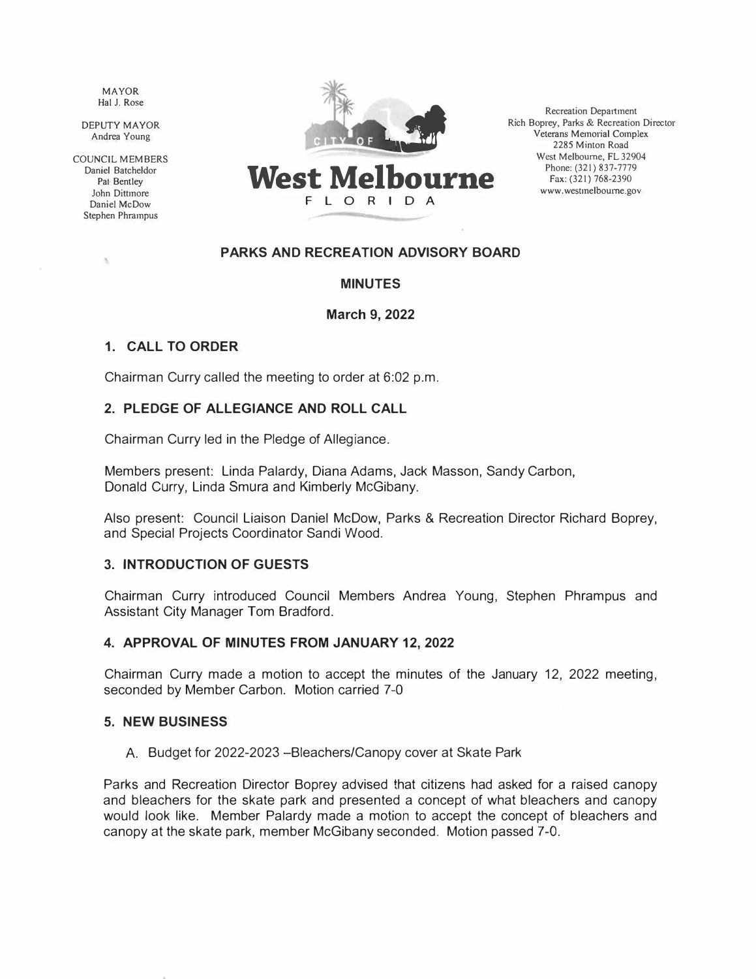MAYOR Hal J. Rose

DEPUTY MAYOR Andrea Young

COUNCIL MEMBERS Daniel Batcheldor Pat Bentley John Dittmore Daniel McDow Stephen Phrampus

×



**West Melbourne F L ORID A** 

Recreation Department � Rich Boprey, Parks & Recreation Director Veterans Memorial Complex 2285 Minton Road West Melbourne, FL 32904 Phone: (321) 837-7779 Fax: (321) 768-2390 www.westmelboume.gov

## **PARKS AND RECREATION ADVISORY BOARD**

## **MINUTES**

#### **March 9, 2022**

## **1. CALL TO ORDER**

Chairman Curry called the meeting to order at 6:02 p.m.

## **2. PLEDGE OF ALLEGIANCE AND ROLL CALL**

Chairman Curry led in the Pledge of Allegiance.

Members present: Linda Palardy, Diana Adams, Jack Masson, Sandy Carbon, Donald Curry, Linda Smura and Kimberly McGibany.

Also present: Council Liaison Daniel McDow, Parks & Recreation Director Richard Boprey, and Special Projects Coordinator Sandi Wood.

#### **3. INTRODUCTION OF GUESTS**

Chairman Curry introduced Council Members Andrea Young, Stephen Phrampus and Assistant City Manager Tom Bradford.

#### **4. APPROVAL OF MINUTES FROM JANUARY 12, 2022**

Chairman Curry made a motion to accept the minutes of the January 12, 2022 meeting, seconded by Member Carbon. Motion carried 7-0

#### **5. NEW BUSINESS**

A. Budget for 2022-2023 - Bleachers/Canopy cover at Skate Park

Parks and Recreation Director Boprey advised that citizens had asked for a raised canopy and bleachers for the skate park and presented a concept of what bleachers and canopy would look like. Member Palardy made a motion to accept the concept of bleachers and canopy at the skate park, member McGibany seconded. Motion passed 7-0.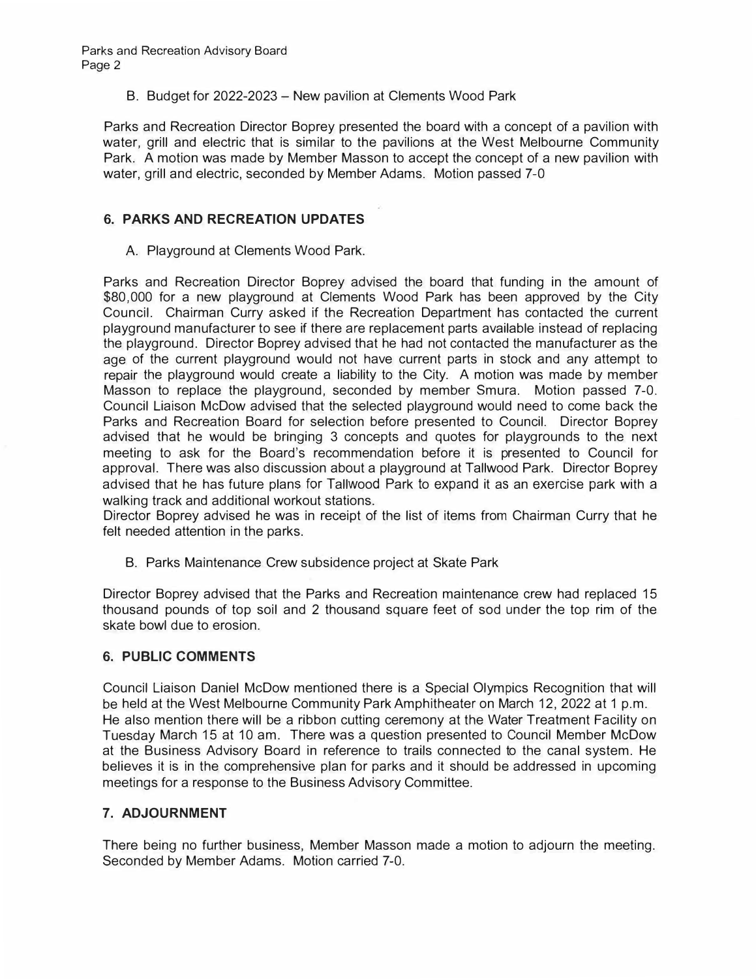B. Budget for 2022-2023 – New pavilion at Clements Wood Park

Parks and Recreation Director Boprey presented the board with a concept of a pavilion with water, grill and electric that is similar to the pavilions at the West Melbourne Community Park. A motion was made by Member Masson to accept the concept of a new pavilion with water, grill and electric, seconded by Member Adams. Motion passed 7-0

# **6. PARKS AND RECREATION UPDATES**

A. Playground at Clements Wood Park.

Parks and Recreation Director Boprey advised the board that funding in the amount of \$80, 000 for a new playground at Clements Wood Park has been approved by the City Council. Chairman Curry asked if the Recreation Department has contacted the current playground manufacturer to see if there are replacement parts available instead of replacing the playground. Director Boprey advised that he had not contacted the manufacturer as the age of the current playground would not have current parts in stock and any attempt to repair the playground would create a liability to the City. A motion was made by member Masson to replace the playground, seconded by member Smura. Motion passed 7-0. Council Liaison McDow advised that the selected playground would need to come back the Parks and Recreation Board for selection before presented to Council. Director Boprey advised that he would be bringing 3 concepts and quotes for playgrounds to the next meeting to ask for the Board's recommendation before it is presented to Council for approval. There was also discussion about a playground at Tallwood Park. Director Boprey advised that he has future plans for Tallwood Park to expand it as an exercise park with a walking track and additional workout stations.

Director Boprey advised he was in receipt of the list of items from Chairman Curry that he felt needed attention in the parks.

B. Parks Maintenance Crew subsidence project at Skate Park

Director Boprey advised that the Parks and Recreation maintenance crew had replaced 15 thousand pounds of top soil and 2 thousand square feet of sod under the top rim of the skate bowl due to erosion.

#### **6. PUBLIC COMMENTS**

Council Liaison Daniel McDow mentioned there is a Special Olympics Recognition that will be held at the West Melbourne Community Park Amphitheater on March 12, 2022 at 1 p.m. He also mention there will be a ribbon cutting ceremony at the Water Treatment Facility on Tuesday March 15 at 10 am. There was a question presented to Council Member McDow at the Business Advisory Board in reference to trails connected to the canal system. He believes it is in the comprehensive plan for parks and it should be addressed in upcoming meetings for a response to the Business Advisory Committee.

## **7. ADJOURNMENT**

There being no further business, Member Masson made a motion to adjourn the meeting. Seconded by Member Adams. Motion carried 7-0.